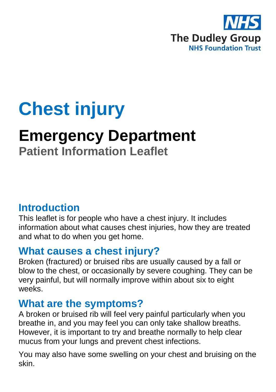

# **Chest injury**

## **Emergency Department**

## **Patient Information Leaflet**

#### **Introduction**

This leaflet is for people who have a chest injury. It includes information about what causes chest injuries, how they are treated and what to do when you get home.

#### **What causes a chest injury?**

Broken (fractured) or bruised ribs are usually caused by a fall or blow to the chest, or occasionally by severe coughing. They can be very painful, but will normally improve within about six to eight weeks.

#### **What are the symptoms?**

A broken or bruised rib will feel very painful particularly when you breathe in, and you may feel you can only take shallow breaths. However, it is important to try and breathe normally to help clear mucus from your lungs and prevent chest infections.

You may also have some swelling on your chest and bruising on the skin.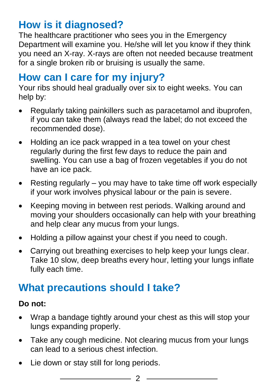## **How is it diagnosed?**

The healthcare practitioner who sees you in the Emergency Department will examine you. He/she will let you know if they think you need an X-ray. X-rays are often not needed because treatment for a single broken rib or bruising is usually the same.

#### **How can I care for my injury?**

Your ribs should heal gradually over six to eight weeks. You can help by:

- Regularly taking painkillers such as paracetamol and ibuprofen, if you can take them (always read the label; do not exceed the recommended dose).
- Holding an ice pack wrapped in a tea towel on your chest regularly during the first few days to reduce the pain and swelling. You can use a bag of frozen vegetables if you do not have an ice pack.
- Resting regularly  $-$  you may have to take time off work especially if your work involves physical labour or the pain is severe.
- Keeping moving in between rest periods. Walking around and moving your shoulders occasionally can help with your breathing and help clear any mucus from your lungs.
- Holding a pillow against your chest if you need to cough.
- Carrying out breathing exercises to help keep your lungs clear. Take 10 slow, deep breaths every hour, letting your lungs inflate fully each time.

## **What precautions should I take?**

#### **Do not:**

- Wrap a bandage tightly around your chest as this will stop your lungs expanding properly.
- Take any cough medicine. Not clearing mucus from your lungs can lead to a serious chest infection.
- Lie down or stay still for long periods.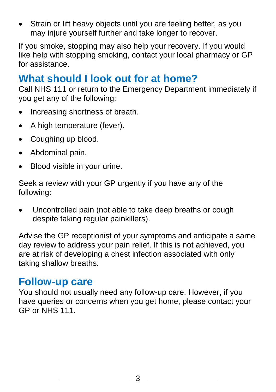• Strain or lift heavy objects until you are feeling better, as you may injure yourself further and take longer to recover.

If you smoke, stopping may also help your recovery. If you would like help with stopping smoking, contact your local pharmacy or GP for assistance.

#### **What should I look out for at home?**

Call NHS 111 or return to the Emergency Department immediately if you get any of the following:

- Increasing shortness of breath.
- A high temperature (fever).
- Coughing up blood.
- Abdominal pain.
- Blood visible in your urine.

Seek a review with your GP urgently if you have any of the following:

 Uncontrolled pain (not able to take deep breaths or cough despite taking regular painkillers).

Advise the GP receptionist of your symptoms and anticipate a same day review to address your pain relief. If this is not achieved, you are at risk of developing a chest infection associated with only taking shallow breaths.

#### **Follow-up care**

You should not usually need any follow-up care. However, if you have queries or concerns when you get home, please contact your GP or NHS 111.